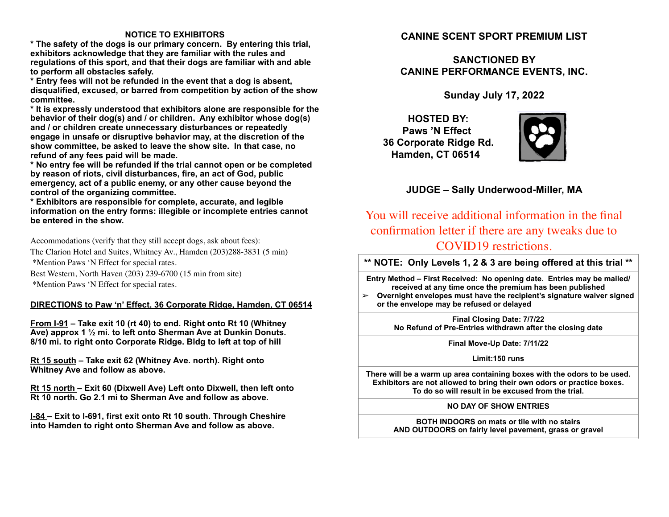### **NOTICE TO EXHIBITORS**

**\* The safety of the dogs is our primary concern. By entering this trial, exhibitors acknowledge that they are familiar with the rules and regulations of this sport, and that their dogs are familiar with and able to perform all obstacles safely.**

**\* Entry fees will not be refunded in the event that a dog is absent, disqualified, excused, or barred from competition by action of the show committee.** 

**\* It is expressly understood that exhibitors alone are responsible for the behavior of their dog(s) and / or children. Any exhibitor whose dog(s) and / or children create unnecessary disturbances or repeatedly engage in unsafe or disruptive behavior may, at the discretion of the show committee, be asked to leave the show site. In that case, no refund of any fees paid will be made.**

**\* No entry fee will be refunded if the trial cannot open or be completed by reason of riots, civil disturbances, fire, an act of God, public emergency, act of a public enemy, or any other cause beyond the control of the organizing committee.**

**\* Exhibitors are responsible for complete, accurate, and legible information on the entry forms: illegible or incomplete entries cannot be entered in the show.**

Accommodations (verify that they still accept dogs, ask about fees):

The Clarion Hotel and Suites, Whitney Av., Hamden (203)288-3831 (5 min) \*Mention Paws 'N Effect for special rates.

Best Western, North Haven (203) 239-6700 (15 min from site) \*Mention Paws 'N Effect for special rates.

## **DIRECTIONS to Paw 'n' Effect, 36 Corporate Ridge, Hamden, CT 06514**

**From I-91 – Take exit 10 (rt 40) to end. Right onto Rt 10 (Whitney Ave) approx 1 ½ mi. to left onto Sherman Ave at Dunkin Donuts. 8/10 mi. to right onto Corporate Ridge. Bldg to left at top of hill**

**Rt 15 south – Take exit 62 (Whitney Ave. north). Right onto Whitney Ave and follow as above.**

**Rt 15 north – Exit 60 (Dixwell Ave) Left onto Dixwell, then left onto Rt 10 north. Go 2.1 mi to Sherman Ave and follow as above.**

**I-84 – Exit to I-691, first exit onto Rt 10 south. Through Cheshire into Hamden to right onto Sherman Ave and follow as above.**

## **CANINE SCENT SPORT PREMIUM LIST**

# **SANCTIONED BY CANINE PERFORMANCE EVENTS, INC.**

**Sunday July 17, 2022**

 **HOSTED BY: Paws 'N Effect 36 Corporate Ridge Rd. Hamden, CT 06514**



## **JUDGE – Sally Underwood-Miller, MA**

You will receive additional information in the final confirmation letter if there are any tweaks due to COVID19 restrictions.

**\*\* NOTE: Only Levels 1, 2 & 3 are being offered at this trial \*\***

**Entry Method – First Received: No opening date. Entries may be mailed/ received at any time once the premium has been published**

➢ **Overnight envelopes must have the recipient's signature waiver signed or the envelope may be refused or delayed**

> **Final Closing Date: 7/7/22 No Refund of Pre-Entries withdrawn after the closing date**

> > **Final Move-Up Date: 7/11/22**

**Limit:150 runs**

**There will be a warm up area containing boxes with the odors to be used. Exhibitors are not allowed to bring their own odors or practice boxes. To do so will result in be excused from the trial.**

#### **NO DAY OF SHOW ENTRIES**

**BOTH INDOORS on mats or tile with no stairs AND OUTDOORS on fairly level pavement, grass or gravel**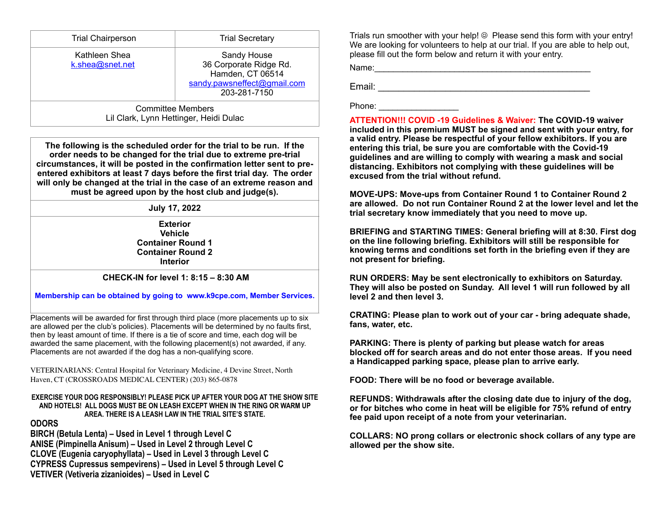| <b>Trial Chairperson</b>         | <b>Trial Secretary</b>                                                                                   |
|----------------------------------|----------------------------------------------------------------------------------------------------------|
| Kathleen Shea<br>k.shea@snet.net | Sandy House<br>36 Corporate Ridge Rd.<br>Hamden, CT 06514<br>sandy.pawsneffect@gmail.com<br>203-281-7150 |
|                                  | <b>Committee Members</b><br>Lil Clark, Lynn Hettinger, Heidi Dulac                                       |

**The following is the scheduled order for the trial to be run. If the order needs to be changed for the trial due to extreme pre-trial circumstances, it will be posted in the confirmation letter sent to preentered exhibitors at least 7 days before the first trial day. The order will only be changed at the trial in the case of an extreme reason and must be agreed upon by the host club and judge(s).**

**July 17, 2022**

**Exterior Vehicle Container Round 1 Container Round 2 Interior**

## **CHECK-IN for level 1: 8:15 – 8:30 AM**

**Membership can be obtained by going to www.k9cpe.com, Member Services.**

Placements will be awarded for first through third place (more placements up to six are allowed per the club's policies). Placements will be determined by no faults first, then by least amount of time. If there is a tie of score and time, each dog will be awarded the same placement, with the following placement(s) not awarded, if any. Placements are not awarded if the dog has a non-qualifying score.

VETERINARIANS: Central Hospital for Veterinary Medicine, 4 Devine Street, North Haven, CT (CROSSROADS MEDICAL CENTER) (203) 865-0878

#### **EXERCISE YOUR DOG RESPONSIBLY! PLEASE PICK UP AFTER YOUR DOG AT THE SHOW SITE AND HOTELS! ALL DOGS MUST BE ON LEASH EXCEPT WHEN IN THE RING OR WARM UP AREA. THERE IS A LEASH LAW IN THE TRIAL SITE'S STATE.**

## **ODORS**

**BIRCH (Betula Lenta) – Used in Level 1 through Level C ANISE (Pimpinella Anisum) – Used in Level 2 through Level C CLOVE (Eugenia caryophyllata) – Used in Level 3 through Level C CYPRESS Cupressus sempevirens) – Used in Level 5 through Level C VETIVER (Vetiveria zizanioides) – Used in Level C**

Trials run smoother with your help! ☺ Please send this form with your entry! We are looking for volunteers to help at our trial. If you are able to help out, please fill out the form below and return it with your entry.

Name:\_\_\_\_\_\_\_\_\_\_\_\_\_\_\_\_\_\_\_\_\_\_\_\_\_\_\_\_\_\_\_\_\_\_\_\_\_\_\_\_\_\_\_\_\_\_

Email: \_\_\_\_\_\_\_\_\_\_\_\_\_\_\_\_\_\_\_\_\_\_\_\_\_\_\_\_\_\_\_\_\_\_\_\_\_\_\_\_\_

### Phone:  $\blacksquare$

**ATTENTION!!! COVID -19 Guidelines & Waiver: The COVID-19 waiver included in this premium MUST be signed and sent with your entry, for a valid entry. Please be respectful of your fellow exhibitors. If you are entering this trial, be sure you are comfortable with the Covid-19 guidelines and are willing to comply with wearing a mask and social distancing. Exhibitors not complying with these guidelines will be excused from the trial without refund.**

**MOVE-UPS: Move-ups from Container Round 1 to Container Round 2 are allowed. Do not run Container Round 2 at the lower level and let the trial secretary know immediately that you need to move up.**

**BRIEFING and STARTING TIMES: General briefing will at 8:30. First dog on the line following briefing. Exhibitors will still be responsible for knowing terms and conditions set forth in the briefing even if they are not present for briefing.**

**RUN ORDERS: May be sent electronically to exhibitors on Saturday. They will also be posted on Sunday. All level 1 will run followed by all level 2 and then level 3.**

**CRATING: Please plan to work out of your car - bring adequate shade, fans, water, etc.**

**PARKING: There is plenty of parking but please watch for areas blocked off for search areas and do not enter those areas. If you need a Handicapped parking space, please plan to arrive early.**

**FOOD: There will be no food or beverage available.**

**REFUNDS: Withdrawals after the closing date due to injury of the dog, or for bitches who come in heat will be eligible for 75% refund of entry fee paid upon receipt of a note from your veterinarian.**

**COLLARS: NO prong collars or electronic shock collars of any type are allowed per the show site.**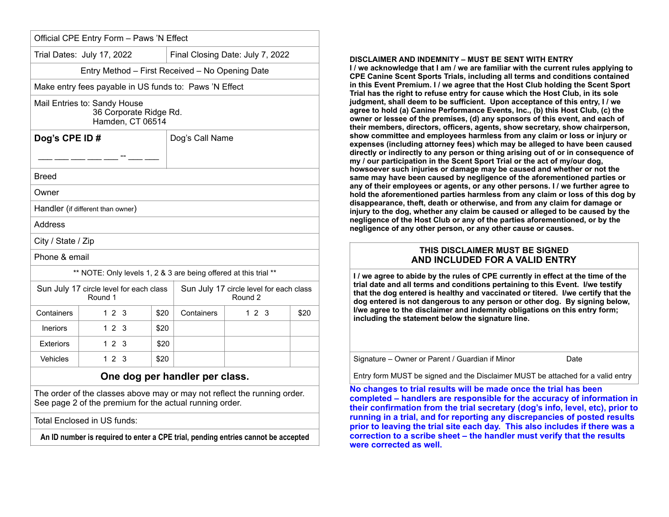| Official CPE Entry Form - Paws 'N Effect           |       |                                            |                                                    |                                                                                                                                     |     |  |      |
|----------------------------------------------------|-------|--------------------------------------------|----------------------------------------------------|-------------------------------------------------------------------------------------------------------------------------------------|-----|--|------|
| Trial Dates: July 17, 2022                         |       |                                            |                                                    | Final Closing Date: July 7, 2022                                                                                                    |     |  |      |
|                                                    |       |                                            |                                                    | Entry Method - First Received - No Opening Date                                                                                     |     |  |      |
|                                                    |       |                                            |                                                    | Make entry fees payable in US funds to: Paws 'N Effect                                                                              |     |  |      |
| Mail Entries to: Sandy House                       |       | 36 Corporate Ridge Rd.<br>Hamden, CT 06514 |                                                    |                                                                                                                                     |     |  |      |
| Dog's CPE ID #                                     |       |                                            |                                                    | Dog's Call Name                                                                                                                     |     |  |      |
|                                                    | ----- |                                            |                                                    |                                                                                                                                     |     |  |      |
| <b>Breed</b>                                       |       |                                            |                                                    |                                                                                                                                     |     |  |      |
| Owner                                              |       |                                            |                                                    |                                                                                                                                     |     |  |      |
| Handler (if different than owner)                  |       |                                            |                                                    |                                                                                                                                     |     |  |      |
| Address                                            |       |                                            |                                                    |                                                                                                                                     |     |  |      |
| City / State / Zip                                 |       |                                            |                                                    |                                                                                                                                     |     |  |      |
| Phone & email                                      |       |                                            |                                                    |                                                                                                                                     |     |  |      |
|                                                    |       |                                            |                                                    | ** NOTE: Only levels 1, 2 & 3 are being offered at this trial **                                                                    |     |  |      |
| Sun July 17 circle level for each class<br>Round 1 |       |                                            | Sun July 17 circle level for each class<br>Round 2 |                                                                                                                                     |     |  |      |
| Containers                                         | 1 2 3 |                                            | \$20                                               | Containers                                                                                                                          | 123 |  | \$20 |
| <b>Ineriors</b>                                    | 123   |                                            | \$20                                               |                                                                                                                                     |     |  |      |
| <b>Exteriors</b>                                   | 1 2 3 |                                            | \$20                                               |                                                                                                                                     |     |  |      |
| <b>Vehicles</b>                                    | 123   |                                            | \$20                                               |                                                                                                                                     |     |  |      |
|                                                    |       |                                            |                                                    | One dog per handler per class.                                                                                                      |     |  |      |
|                                                    |       |                                            |                                                    | The order of the classes above may or may not reflect the running order.<br>See page 2 of the premium for the actual running order. |     |  |      |
| Total Enclosed in US funds:                        |       |                                            |                                                    |                                                                                                                                     |     |  |      |
|                                                    |       |                                            |                                                    | An ID number is required to enter a CPE trial, pending entries cannot be accepted                                                   |     |  |      |

#### **DISCLAIMER AND INDEMNITY – MUST BE SENT WITH ENTRY**

**I / we acknowledge that I am / we are familiar with the current rules applying to CPE Canine Scent Sports Trials, including all terms and conditions contained in this Event Premium. I / we agree that the Host Club holding the Scent Sport Trial has the right to refuse entry for cause which the Host Club, in its sole judgment, shall deem to be sufficient. Upon acceptance of this entry, I / we agree to hold (a) Canine Performance Events, Inc., (b) this Host Club, (c) the owner or lessee of the premises, (d) any sponsors of this event, and each of their members, directors, officers, agents, show secretary, show chairperson, show committee and employees harmless from any claim or loss or injury or expenses (including attorney fees) which may be alleged to have been caused directly or indirectly to any person or thing arising out of or in consequence of my / our participation in the Scent Sport Trial or the act of my/our dog, howsoever such injuries or damage may be caused and whether or not the same may have been caused by negligence of the aforementioned parties or any of their employees or agents, or any other persons. I / we further agree to hold the aforementioned parties harmless from any claim or loss of this dog by disappearance, theft, death or otherwise, and from any claim for damage or injury to the dog, whether any claim be caused or alleged to be caused by the negligence of the Host Club or any of the parties aforementioned, or by the negligence of any other person, or any other cause or causes.** 

### **THIS DISCLAIMER MUST BE SIGNED AND INCLUDED FOR A VALID ENTRY**

**I / we agree to abide by the rules of CPE currently in effect at the time of the trial date and all terms and conditions pertaining to this Event. I/we testify that the dog entered is healthy and vaccinated or titered. I/we certify that the dog entered is not dangerous to any person or other dog. By signing below, I/we agree to the disclaimer and indemnity obligations on this entry form; including the statement below the signature line.**

Signature – Owner or Parent / Guardian if Minor Date

Entry form MUST be signed and the Disclaimer MUST be attached for a valid entry

**No changes to trial results will be made once the trial has been completed – handlers are responsible for the accuracy of information in their confirmation from the trial secretary (dog's info, level, etc), prior to running in a trial, and for reporting any discrepancies of posted results prior to leaving the trial site each day. This also includes if there was a correction to a scribe sheet – the handler must verify that the results were corrected as well.**